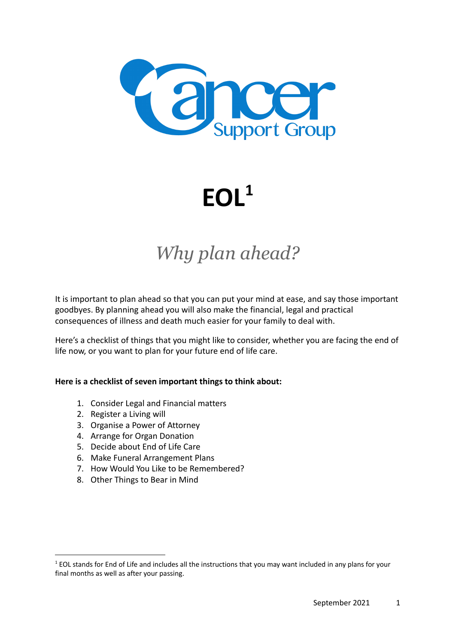

**EOL<sup>1</sup>**

# *Why plan ahead?*

It is important to plan ahead so that you can put your mind at ease, and say those important goodbyes. By planning ahead you will also make the financial, legal and practical consequences of illness and death much easier for your family to deal with.

Here's a checklist of things that you might like to consider, whether you are facing the end of life now, or you want to plan for your future end of life care.

#### **Here is a checklist of seven important things to think about:**

- 1. Consider Legal and Financial matters
- 2. Register a Living will
- 3. Organise a Power of Attorney
- 4. Arrange for Organ Donation
- 5. Decide about End of Life Care
- 6. Make [Funeral Arrangement Plans](https://www.dyingmatters.org/page/planning-ahead#funeral)
- 7. How Would You Like to be Remembered?
- 8. Other Things to Bear in Mind

 $1$  EOL stands for End of Life and includes all the instructions that you may want included in any plans for your final months as well as after your passing.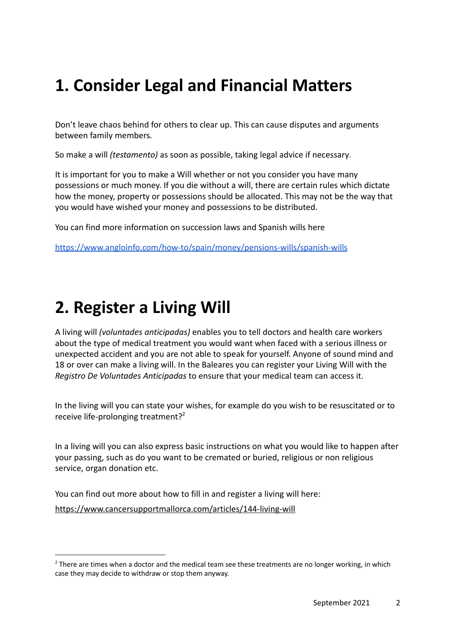# **1. Consider Legal and Financial Matters**

Don't leave chaos behind for others to clear up. This can cause [disputes and arguments](http://dyingmatters.org/page/family-dynamics-when-someone-dying) [between family members](http://dyingmatters.org/page/family-dynamics-when-someone-dying)*.*

So make a will *(testamento)* as soon as possible, taking [legal advice if necessary](http://www.adviceguide.org.uk/england/relationships_e/relationships_death_and_wills_e/wills.htm).

It is important for you to make a Will whether or not you consider you have many possessions or much money. If you die without a will, there are certain rules which dictate how the money, property or possessions should be allocated. This may not be the way that you would have wished your money and possessions to be distributed.

You can find more information on succession laws and Spanish wills here

<https://www.angloinfo.com/how-to/spain/money/pensions-wills/spanish-wills>

### **2. Register a Living Will**

A living will *(voluntades anticipadas)* enables you to tell doctors and health care workers about the type of medical treatment you would want when faced with a serious illness or unexpected accident and you are not able to speak for yourself. Anyone of sound mind and 18 or over can make a living will. In the Baleares you can register your Living Will with the *Registro De Voluntades Anticipadas* to ensure that your medical team can access it.

In the living will you can state your wishes, for example do you wish to be resuscitated or to receive life-prolonging treatment?<sup>2</sup>

In a living will you can also express basic instructions on what you would like to happen after your passing, such as do you want to be cremated or buried, religious or non religious service, organ donation etc.

You can find out more about how to fill in and register a living will here: <https://www.cancersupportmallorca.com/articles/144-living-will>

 $<sup>2</sup>$  There are times when a doctor and the medical team see these treatments are no longer working, in which</sup> case they may decide to withdraw or stop them anyway.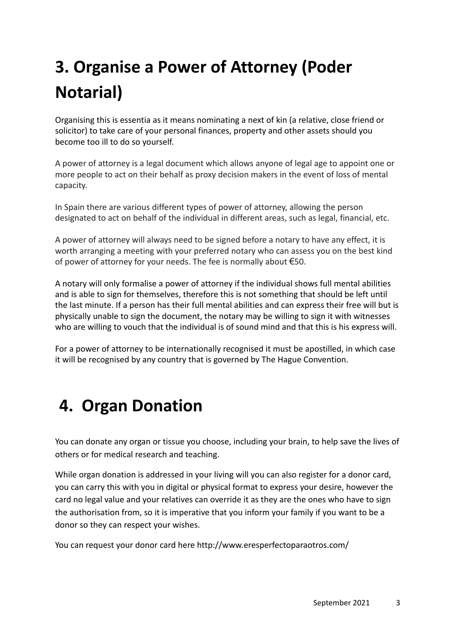# **3. Organise a Power of Attorney (Poder Notarial)**

Organising this is essentia as it means nominating a next of kin (a relative, close friend or solicitor) to take care of your personal finances, property and other assets should you become too ill to do so yourself.

A power of attorney is a legal document which allows anyone of legal age to appoint one or more people to act on their behalf as proxy decision makers in the event of loss of mental capacity.

In Spain there are various different types of power of attorney, allowing the person designated to act on behalf of the individual in different areas, such as legal, financial, etc.

A power of attorney will always need to be signed before a notary to have any effect, it is worth arranging a meeting with your preferred notary who can assess you on the best kind of power of attorney for your needs. The fee is normally about €50.

A notary will only formalise a power of attorney if the individual shows full mental abilities and is able to sign for themselves, therefore this is not something that should be left until the last minute. If a person has their full mental abilities and can express their free will but is physically unable to sign the document, the notary may be willing to sign it with witnesses who are willing to vouch that the individual is of sound mind and that this is his express will.

For a power of attorney to be internationally recognised it must be apostilled, in which case it will be recognised by any country that is governed by The Hague Convention.

### **4. Organ Donation**

You can donate any organ or tissue you choose, including your brain, to help save the lives of others or for medical research and teaching.

While organ donation is addressed in your living will you can also register for a donor card, you can carry this with you in digital or physical format to express your desire, however the card no legal value and your relatives can override it as they are the ones who have to sign the authorisation from, so it is imperative that you inform your family if you want to be a donor so they can respect your wishes.

You can request your donor card here http://www.eresperfectoparaotros.com/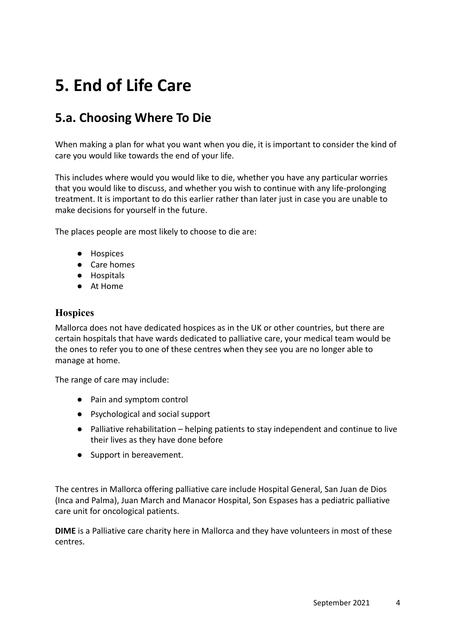# **5. End of Life Care**

### **5.a. Choosing Where To Die**

When making a plan for what you want when you die, it is important to consider the kind of care you would like towards the end of your life.

This includes where would you would like to die, whether you have any particular worries that you would like to discuss, and whether you wish to continue with any life-prolonging treatment. It is important to do this earlier rather than later just in case you are unable to make decisions for yourself in the future.

The places people are most likely to choose to die are:

- Hospices
- Care homes
- Hospitals
- At Home

#### **Hospices**

Mallorca does not have dedicated hospices as in the UK or other countries, but there are certain hospitals that have wards dedicated to palliative care, your medical team would be the ones to refer you to one of these centres when they see you are no longer able to manage at home.

The range of care may include:

- Pain and symptom control
- Psychological and social support
- Palliative rehabilitation helping patients to stay independent and continue to live their lives as they have done before
- Support in bereavement.

The centres in Mallorca offering palliative care include Hospital General, San Juan de Dios (Inca and Palma), Juan March and Manacor Hospital, Son Espases has a pediatric palliative care unit for oncological patients.

**DIME** is a Palliative care charity here in Mallorca and they have volunteers in most of these centres.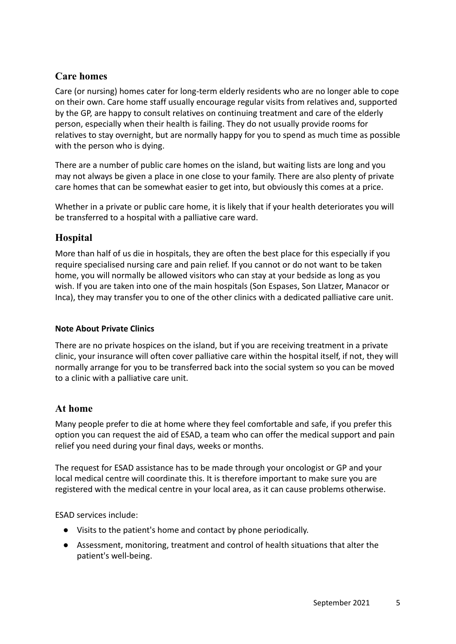#### **Care homes**

Care (or nursing) homes cater for long-term elderly residents who are no longer able to cope on their own. Care home staff usually encourage regular visits from relatives and, supported by the GP, are happy to consult relatives on continuing treatment and care of the elderly person, especially when their health is failing. They do not usually provide rooms for relatives to stay overnight, but are normally happy for you to spend as much time as possible with the person who is dying.

There are a number of public care homes on the island, but waiting lists are long and you may not always be given a place in one close to your family. There are also plenty of private care homes that can be somewhat easier to get into, but obviously this comes at a price.

Whether in a private or public care home, it is likely that if your health deteriorates you will be transferred to a hospital with a palliative care ward.

#### **Hospital**

More than half of us die in hospitals, they are often the best place for this especially if you require specialised nursing care and pain relief. If you cannot or do not want to be taken home, you will normally be allowed visitors who can stay at your bedside as long as you wish. If you are taken into one of the main hospitals (Son Espases, Son Llatzer, Manacor or Inca), they may transfer you to one of the other clinics with a dedicated palliative care unit.

#### **Note About Private Clinics**

There are no private hospices on the island, but if you are receiving treatment in a private clinic, your insurance will often cover palliative care within the hospital itself, if not, they will normally arrange for you to be transferred back into the social system so you can be moved to a clinic with a palliative care unit.

#### **At home**

Many people prefer to die at home where they feel comfortable and safe, if you prefer this option you can request the aid of ESAD, a team who can offer the medical support and pain relief you need during your final days, weeks or months.

The request for ESAD assistance has to be made through your oncologist or GP and your local medical centre will coordinate this. It is therefore important to make sure you are registered with the medical centre in your local area, as it can cause problems otherwise.

ESAD services include:

- Visits to the patient's home and contact by phone periodically.
- Assessment, monitoring, treatment and control of health situations that alter the patient's well-being.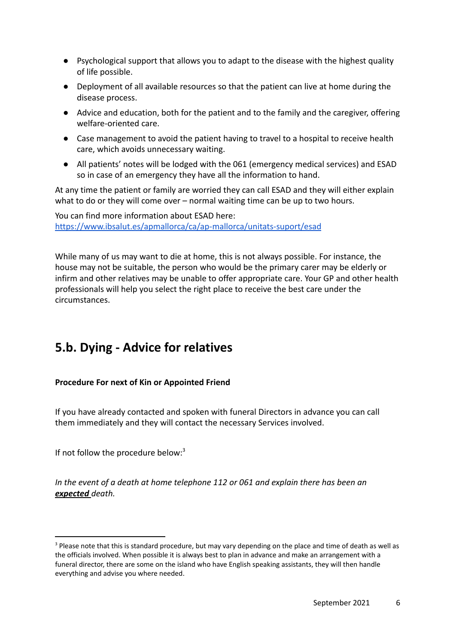- Psychological support that allows you to adapt to the disease with the highest quality of life possible.
- Deployment of all available resources so that the patient can live at home during the disease process.
- Advice and education, both for the patient and to the family and the caregiver, offering welfare-oriented care.
- Case management to avoid the patient having to travel to a hospital to receive health care, which avoids unnecessary waiting.
- All patients' notes will be lodged with the 061 (emergency medical services) and ESAD so in case of an emergency they have all the information to hand.

At any time the patient or family are worried they can call ESAD and they will either explain what to do or they will come over – normal waiting time can be up to two hours.

You can find more information about ESAD here: <https://www.ibsalut.es/apmallorca/ca/ap-mallorca/unitats-suport/esad>

While many of us may want to die at home, this is not always possible. For instance, the house may not be suitable, the person who would be the primary carer may be elderly or infirm and other relatives may be unable to offer appropriate care. Your GP and other health professionals will help you select the right place to receive the best care under the circumstances.

### **5.b. Dying - Advice for relatives**

#### **Procedure For next of Kin or Appointed Friend**

If you have already contacted and spoken with funeral Directors in advance you can call them immediately and they will contact the necessary Services involved.

If not follow the procedure below: $3$ 

*In the event of a death at home telephone 112 or 061 and explain there has been an expected death.*

<sup>&</sup>lt;sup>3</sup> Please note that this is standard procedure, but may vary depending on the place and time of death as well as the officials involved. When possible it is always best to plan in advance and make an arrangement with a funeral director, there are some on the island who have English speaking assistants, they will then handle everything and advise you where needed.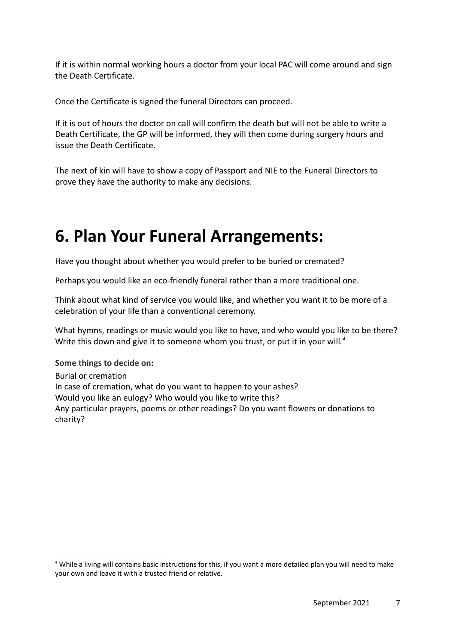If it is within normal working hours a doctor from your local PAC will come around and sign the Death Certificate.

Once the Certificate is signed the funeral Directors can proceed.

If it is out of hours the doctor on call will confirm the death but will not be able to write a Death Certificate, the GP will be informed, they will then come during surgery hours and issue the Death Certificate.

The next of kin will have to show a copy of Passport and NIE to the Funeral Directors to prove they have the authority to make any decisions.

## **6. Plan Your Funeral Arrangements:**

Have you thought about whether you would prefer to be buried or cremated?

Perhaps you would like an eco-friendly funeral rather than a more traditional one.

Think about what kind of service you would like, and whether you want it to be more of a celebration of your life than a conventional ceremony.

What hymns, readings or music would you like to have, and who would you like to be there? Write this down and give it to someone whom you trust, or put it in your will*. 4*

**Some things to decide on:** Burial or cremation In case of cremation, what do you want to happen to your ashes? Would you like an eulogy? Who would you like to write this? Any particular prayers, poems or other readings? Do you want flowers or donations to charity?

<sup>&</sup>lt;sup>4</sup> While a living will contains basic instructions for this, if you want a more detailed plan you will need to make your own and leave it with a trusted friend or relative.